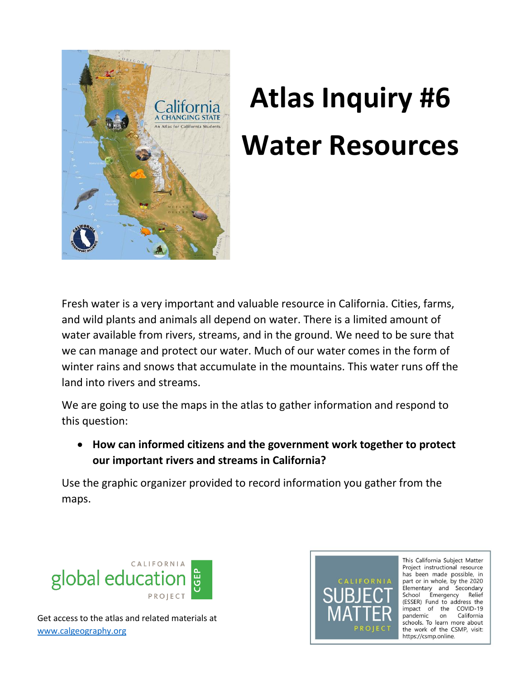

## **Atlas Inquiry #6 Water Resources**

Fresh water is a very important and valuable resource in California. Cities, farms, and wild plants and animals all depend on water. There is a limited amount of water available from rivers, streams, and in the ground. We need to be sure that we can manage and protect our water. Much of our water comes in the form of winter rains and snows that accumulate in the mountains. This water runs off the land into rivers and streams.

We are going to use the maps in the atlas to gather information and respond to this question:

 **How can informed citizens and the government work together to protect our important rivers and streams in California?** 

Use the graphic organizer provided to record information you gather from the maps.





This California Subject Matter Project instructional resource has been made possible, in part or in whole, by the 2020 Elementary and Secondary School Emergency Relief (ESSER) Fund to address the impact of the COVID-19 pandemic on California schools. To learn more about the work of the CSMP, visit: https://csmp.online.

Get access to the atlas and related materials at [www.calgeography.org](http://www.calgeography.org/)